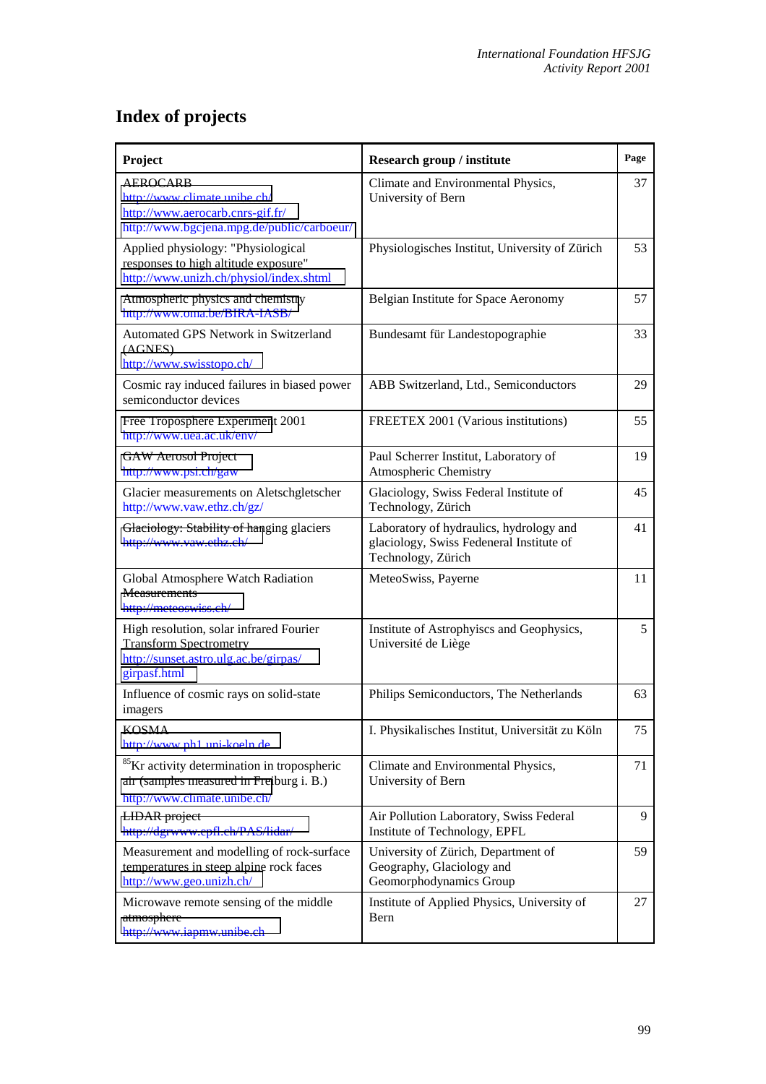## **Index of projects**

| Project                                                                                                                             | Research group / institute                                                                                | Page |
|-------------------------------------------------------------------------------------------------------------------------------------|-----------------------------------------------------------------------------------------------------------|------|
| <b>AEROCARB</b><br>http://www.climate.unibe.ch/<br>http://www.aerocarb.cnrs-gif.fr/<br>http://www.bgcjena.mpg.de/public/carboeur/   | Climate and Environmental Physics,<br>University of Bern                                                  | 37   |
| Applied physiology: "Physiological<br>responses to high altitude exposure"<br>http://www.unizh.ch/physiol/index.shtml               | Physiologisches Institut, University of Zürich                                                            | 53   |
| Atmospheric physics and chemistry<br>http://www.oma.be/BIRA-IASB/                                                                   | Belgian Institute for Space Aeronomy                                                                      | 57   |
| Automated GPS Network in Switzerland<br>(AGNES)<br>http://www.swisstopo.ch/                                                         | Bundesamt für Landestopographie                                                                           | 33   |
| Cosmic ray induced failures in biased power<br>semiconductor devices                                                                | ABB Switzerland, Ltd., Semiconductors                                                                     | 29   |
| Free Troposphere Experiment 2001<br>http://www.uea.ac.uk/env/                                                                       | FREETEX 2001 (Various institutions)                                                                       | 55   |
| <b>GAW</b> Aerosol Project<br>http://www.psi.ch/gaw                                                                                 | Paul Scherrer Institut, Laboratory of<br>Atmospheric Chemistry                                            | 19   |
| Glacier measurements on Aletschgletscher<br>http://www.vaw.ethz.ch/gz/                                                              | Glaciology, Swiss Federal Institute of<br>Technology, Zürich                                              | 45   |
| Glaciology: Stability of hanging glaciers<br>http://www.vaw.ethz.ch/                                                                | Laboratory of hydraulics, hydrology and<br>glaciology, Swiss Fedeneral Institute of<br>Technology, Zürich | 41   |
| Global Atmosphere Watch Radiation<br>Measurements<br>http://meteoswiss.ch/                                                          | MeteoSwiss, Payerne                                                                                       | 11   |
| High resolution, solar infrared Fourier<br><b>Transform Spectrometry</b><br>http://sunset.astro.ulg.ac.be/girpas/<br>girpasf.html   | Institute of Astrophyiscs and Geophysics,<br>Université de Liège                                          | 5    |
| Influence of cosmic rays on solid-state<br>imagers                                                                                  | Philips Semiconductors, The Netherlands                                                                   | 63   |
| <b>KOSMA</b><br>http://www.ph1.uni-koeln.de                                                                                         | I. Physikalisches Institut, Universität zu Köln                                                           | 75   |
| <sup>85</sup> Kr activity determination in tropospheric<br>air (samples measured in Freiburg i. B.)<br>http://www.climate.unibe.ch/ | Climate and Environmental Physics,<br>University of Bern                                                  | 71   |
| LIDAR project<br>http://dgrwww.epfl.ch/PAS/lidar/                                                                                   | Air Pollution Laboratory, Swiss Federal<br>Institute of Technology, EPFL                                  | 9    |
| Measurement and modelling of rock-surface<br>temperatures in steep alpine rock faces<br>http://www.geo.unizh.ch/                    | University of Zürich, Department of<br>Geography, Glaciology and<br>Geomorphodynamics Group               | 59   |
| Microwave remote sensing of the middle<br>atmosphere<br>http://www.iapmw.unibe.ch                                                   | Institute of Applied Physics, University of<br>Bern                                                       | 27   |